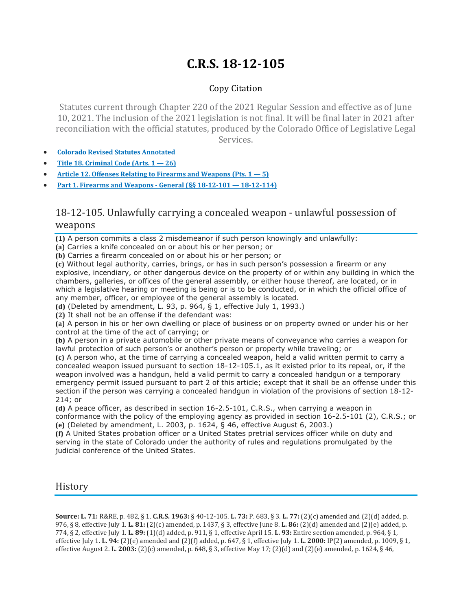# **C.R.S. 18-12-105**

## Copy Citation

Statutes current through Chapter 220 of the 2021 Regular Session and effective as of June 10, 2021. The inclusion of the 2021 legislation is not final. It will be final later in 2021 after reconciliation with the official statutes, produced by the Colorado Office of Legislative Legal Services.

- **Colorado Revised Statutes [Annotated](https://advance.lexis.com/documentpage/?pdmfid=1000516&crid=79e8592c-175b-4b78-aae2-1d9ab537e9cc&nodeid=AASAAWAABAAG&nodepath=%2FROOT%2FAAS%2FAASAAW%2FAASAAWAAB%2FAASAAWAABAAG&level=4&haschildren=&populated=false&title=18-12-105.+Unlawfully+carrying+a+concealed+weapon+-+unlawful+possession+of+weapons&config=014FJAAyNGJkY2Y4Zi1mNjgyLTRkN2YtYmE4OS03NTYzNzYzOTg0OGEKAFBvZENhdGFsb2d592qv2Kywlf8caKqYROP5&pddocfullpath=%2Fshared%2Fdocument%2Fstatutes-legislation%2Furn%3AcontentItem%3A61P5-WSW1-DYDC-J3C8-00008-00&ecomp=L38_9kk&prid=c2b0f1ee-7117-4c3e-b34f-2214b86f7d6c)**
- **Title 18. [Criminal](https://advance.lexis.com/documentpage/?pdmfid=1000516&crid=79e8592c-175b-4b78-aae2-1d9ab537e9cc&nodeid=AASAAWAABAAG&nodepath=%2FROOT%2FAAS%2FAASAAW%2FAASAAWAAB%2FAASAAWAABAAG&level=4&haschildren=&populated=false&title=18-12-105.+Unlawfully+carrying+a+concealed+weapon+-+unlawful+possession+of+weapons&config=014FJAAyNGJkY2Y4Zi1mNjgyLTRkN2YtYmE4OS03NTYzNzYzOTg0OGEKAFBvZENhdGFsb2d592qv2Kywlf8caKqYROP5&pddocfullpath=%2Fshared%2Fdocument%2Fstatutes-legislation%2Furn%3AcontentItem%3A61P5-WSW1-DYDC-J3C8-00008-00&ecomp=L38_9kk&prid=c2b0f1ee-7117-4c3e-b34f-2214b86f7d6c) Code (Arts. 1 — 26)**
- **Article 12. Offenses Relating to Firearms and [Weapons](https://advance.lexis.com/documentpage/?pdmfid=1000516&crid=79e8592c-175b-4b78-aae2-1d9ab537e9cc&nodeid=AASAAWAABAAG&nodepath=%2FROOT%2FAAS%2FAASAAW%2FAASAAWAAB%2FAASAAWAABAAG&level=4&haschildren=&populated=false&title=18-12-105.+Unlawfully+carrying+a+concealed+weapon+-+unlawful+possession+of+weapons&config=014FJAAyNGJkY2Y4Zi1mNjgyLTRkN2YtYmE4OS03NTYzNzYzOTg0OGEKAFBvZENhdGFsb2d592qv2Kywlf8caKqYROP5&pddocfullpath=%2Fshared%2Fdocument%2Fstatutes-legislation%2Furn%3AcontentItem%3A61P5-WSW1-DYDC-J3C8-00008-00&ecomp=L38_9kk&prid=c2b0f1ee-7117-4c3e-b34f-2214b86f7d6c) (Pts. 1 — 5)**
- **Part 1. Firearms and Weapons - General (§§ 18-12-101 — [18-12-114\)](https://advance.lexis.com/documentpage/?pdmfid=1000516&crid=79e8592c-175b-4b78-aae2-1d9ab537e9cc&nodeid=AASAAWAABAAG&nodepath=%2FROOT%2FAAS%2FAASAAW%2FAASAAWAAB%2FAASAAWAABAAG&level=4&haschildren=&populated=false&title=18-12-105.+Unlawfully+carrying+a+concealed+weapon+-+unlawful+possession+of+weapons&config=014FJAAyNGJkY2Y4Zi1mNjgyLTRkN2YtYmE4OS03NTYzNzYzOTg0OGEKAFBvZENhdGFsb2d592qv2Kywlf8caKqYROP5&pddocfullpath=%2Fshared%2Fdocument%2Fstatutes-legislation%2Furn%3AcontentItem%3A61P5-WSW1-DYDC-J3C8-00008-00&ecomp=L38_9kk&prid=c2b0f1ee-7117-4c3e-b34f-2214b86f7d6c)**

## 18-12-105. Unlawfully carrying a concealed weapon - unlawful possession of weapons

**(1)** A person commits a class 2 misdemeanor if such person knowingly and unlawfully:

**(a)** Carries a knife concealed on or about his or her person; or

**(b)** Carries a firearm concealed on or about his or her person; or

**(c)** Without legal authority, carries, brings, or has in such person's possession a firearm or any explosive, incendiary, or other dangerous device on the property of or within any building in which the chambers, galleries, or offices of the general assembly, or either house thereof, are located, or in which a legislative hearing or meeting is being or is to be conducted, or in which the official office of any member, officer, or employee of the general assembly is located.

**(d)** (Deleted by amendment, L. 93, p. 964, § 1, effective July 1, 1993.)

**(2)** It shall not be an offense if the defendant was:

**(a)** A person in his or her own dwelling or place of business or on property owned or under his or her control at the time of the act of carrying; or

**(b)** A person in a private automobile or other private means of conveyance who carries a weapon for lawful protection of such person's or another's person or property while traveling; or

**(c)** A person who, at the time of carrying a concealed weapon, held a valid written permit to carry a concealed weapon issued pursuant to section 18-12-105.1, as it existed prior to its repeal, or, if the weapon involved was a handgun, held a valid permit to carry a concealed handgun or a temporary emergency permit issued pursuant to part 2 of this article; except that it shall be an offense under this section if the person was carrying a concealed handgun in violation of the provisions of section 18-12- 214; or

**(d)** A peace officer, as described in section 16-2.5-101, C.R.S., when carrying a weapon in conformance with the policy of the employing agency as provided in section 16-2.5-101 (2), C.R.S.; or **(e)** (Deleted by amendment, L. 2003, p. 1624, § 46, effective August 6, 2003.)

**(f)** A United States probation officer or a United States pretrial services officer while on duty and serving in the state of Colorado under the authority of rules and regulations promulgated by the judicial conference of the United States.

## History

**Source: L. 71:** R&RE, p. 482, § 1. **C.R.S. 1963:** § 40-12-105. **L. 73:** P. 683, § 3. **L. 77:** (2)(c) amended and (2)(d) added, p. 976, § 8, effective July 1. **L. 81:** (2)(c) amended, p. 1437, § 3, effective June 8. **L. 86:** (2)(d) amended and (2)(e) added, p. 774, § 2, effective July 1. **L. 89:** (1)(d) added, p. 911, § 1, effective April 15. **L. 93:** Entire section amended, p. 964, § 1, effective July 1. **L. 94:** (2)(e) amended and (2)(f) added, p. 647, § 1, effective July 1. **L. 2000:** IP(2) amended, p. 1009, § 1, effective August 2. **L. 2003:** (2)(c) amended, p. 648, § 3, effective May 17; (2)(d) and (2)(e) amended, p. 1624, § 46,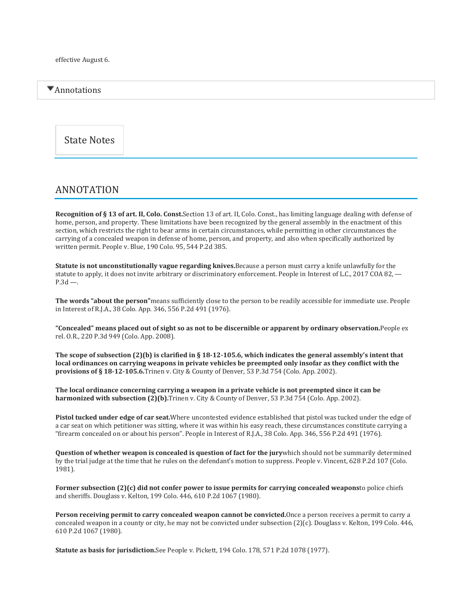## Annotations

State Notes

## ANNOTATION

**Recognition of § 13 of art. II, Colo. Const.**Section 13 of art. II, Colo. Const., has limiting language dealing with defense of home, person, and property. These limitations have been recognized by the general assembly in the enactment of this section, which restricts the right to bear arms in certain circumstances, while permitting in other circumstances the carrying of a concealed weapon in defense of home, person, and property, and also when specifically authorized by written permit. People v. Blue, 190 Colo. 95, 544 P.2d 385.

**Statute is not unconstitutionally vague regarding knives.**Because a person must carry a knife unlawfully for the statute to apply, it does not invite arbitrary or discriminatory enforcement. People in Interest of L.C., 2017 COA 82, —  $P.3d$  —.

**The words "about the person"**means sufficiently close to the person to be readily accessible for immediate use. People in Interest of R.J.A., 38 Colo. App. 346, 556 P.2d 491 (1976).

"Concealed" means placed out of sight so as not to be discernible or apparent by ordinary observation. People ex rel. O.R., 220 P.3d 949 (Colo. App. 2008).

The scope of subsection  $(2)(b)$  is clarified in § 18-12-105.6, which indicates the general assembly's intent that local ordinances on carrying weapons in private vehicles be preempted only insofar as they conflict with the **provisions of § 18-12-105.6.**Trinen v. City & County of Denver, 53 P.3d 754 (Colo. App. 2002).

The local ordinance concerning carrying a weapon in a private vehicle is not preempted since it can be **harmonized with subsection (2)(b).**Trinen v. City & County of Denver, 53 P.3d 754 (Colo. App. 2002).

**Pistol tucked under edge of car seat.**Where uncontested evidence established that pistol was tucked under the edge of a car seat on which petitioner was sitting, where it was within his easy reach, these circumstances constitute carrying a "firearm concealed on or about his person". People in Interest of R.J.A., 38 Colo. App. 346, 556 P.2d 491 (1976).

**Question of whether weapon is concealed is question of fact for the jury**which should not be summarily determined by the trial judge at the time that he rules on the defendant's motion to suppress. People v. Vincent, 628 P.2d 107 (Colo. 1981).

**Former subsection (2)(c) did not confer power to issue permits for carrying concealed weapons**to police chiefs and sheriffs. Douglass v. Kelton, 199 Colo. 446, 610 P.2d 1067 (1980).

**Person receiving permit to carry concealed weapon cannot be convicted.**Once a person receives a permit to carry a concealed weapon in a county or city, he may not be convicted under subsection (2)(c). Douglass v. Kelton, 199 Colo. 446, 610 P.2d 1067 (1980).

**Statute as basis for jurisdiction.**See People v. Pickett, 194 Colo. 178, 571 P.2d 1078 (1977).